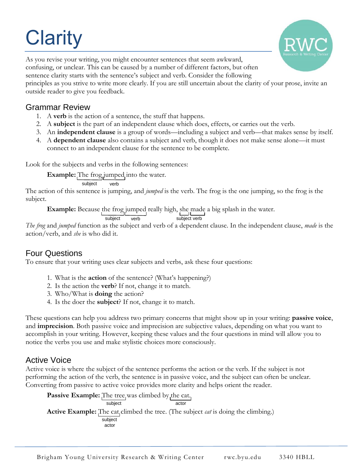# **Clarity**



As you revise your writing, you might encounter sentences that seem awkward, confusing, or unclear. This can be caused by a number of different factors, but often sentence clarity starts with the sentence's subject and verb. Consider the following principles as you strive to write more clearly. If you are still uncertain about the clarity of your prose, invite an outside reader to give you feedback.

# Grammar Review

- 1. A **verb** is the action of a sentence, the stuff that happens.
- 2. A **subject** is the part of an independent clause which does, effects, or carries out the verb.
- 3. An **independent clause** is a group of words—including a subject and verb—that makes sense by itself.
- 4. A **dependent clause** also contains a subject and verb, though it does not make sense alone—it must connect to an independent clause for the sentence to be complete.

Look for the subjects and verbs in the following sentences:

**Example:** The frog jumped into the water.

subject verb

The action of this sentence is jumping, and *jumped* is the verb. The frog is the one jumping, so the frog is the subject.

**Example:** Because the frog jumped really high, she made a big splash in the water.

subject verb subject verb

*The frog* and *jumped* function as the subject and verb of a dependent clause. In the independent clause, *made* is the action/verb, and *she* is who did it.

## Four Questions

To ensure that your writing uses clear subjects and verbs, ask these four questions:

- 1. What is the **action** of the sentence? (What's happening?)
- 2. Is the action the **verb**? If not, change it to match.
- 3. Who/What is **doing** the action?
- 4. Is the doer the **subject**? If not, change it to match.

These questions can help you address two primary concerns that might show up in your writing: **passive voice**, and **imprecision**. Both passive voice and imprecision are subjective values, depending on what you want to accomplish in your writing. However, keeping these values and the four questions in mind will allow you to notice the verbs you use and make stylistic choices more consciously.

# Active Voice

Active voice is where the subject of the sentence performs the action or the verb. If the subject is not performing the action of the verb, the sentence is in passive voice, and the subject can often be unclear. Converting from passive to active voice provides more clarity and helps orient the reader.

subject actor subject actor **Passive Example:** The tree was climbed by the cat. **Active Example:** The cat climbed the tree. (The subject *cat* is doing the climbing.)